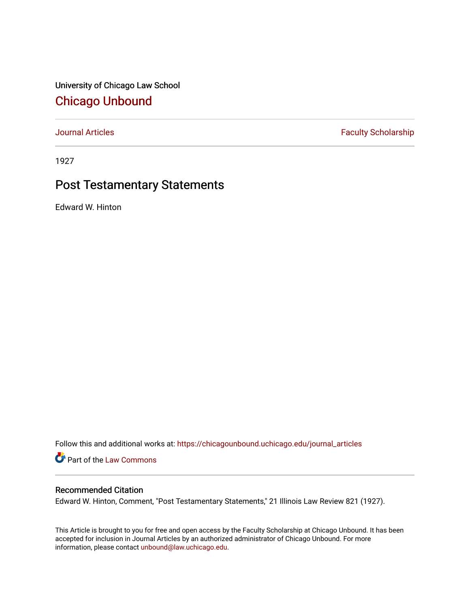University of Chicago Law School [Chicago Unbound](https://chicagounbound.uchicago.edu/)

[Journal Articles](https://chicagounbound.uchicago.edu/journal_articles) **Faculty Scholarship Faculty Scholarship** 

1927

## Post Testamentary Statements

Edward W. Hinton

Follow this and additional works at: [https://chicagounbound.uchicago.edu/journal\\_articles](https://chicagounbound.uchicago.edu/journal_articles?utm_source=chicagounbound.uchicago.edu%2Fjournal_articles%2F9297&utm_medium=PDF&utm_campaign=PDFCoverPages) 

Part of the [Law Commons](http://network.bepress.com/hgg/discipline/578?utm_source=chicagounbound.uchicago.edu%2Fjournal_articles%2F9297&utm_medium=PDF&utm_campaign=PDFCoverPages)

## Recommended Citation

Edward W. Hinton, Comment, "Post Testamentary Statements," 21 Illinois Law Review 821 (1927).

This Article is brought to you for free and open access by the Faculty Scholarship at Chicago Unbound. It has been accepted for inclusion in Journal Articles by an authorized administrator of Chicago Unbound. For more information, please contact [unbound@law.uchicago.edu](mailto:unbound@law.uchicago.edu).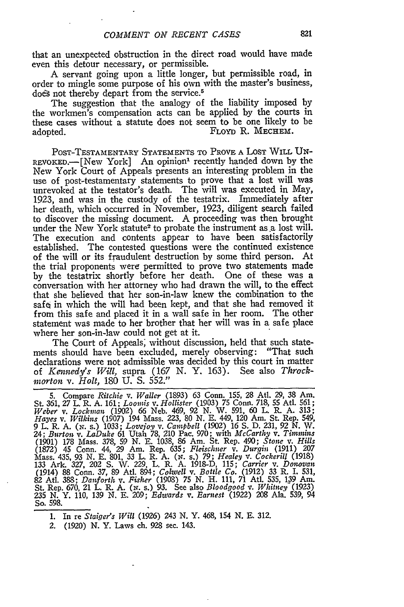that an unexpected obstruction in the direct road would have made even this detour necessary, or permissible.

**A** servant going upon a little longer, but permissible road, in order to mingle some purpose of his own with the master's business, does not thereby depart from the service.<sup>5</sup>

The suggestion that the analogy of the liability imposed by the workmen's compensation acts can be applied by the courts in these cases without a statute does not seem to be one likely to be adopted. FLOYD R. MECHEM.

POST-TESTAMENTARY STATEMENTS TO PROVE A LOST WILL UN-REVOKED.-[New York] An opinion<sup>1</sup> recently handed down by the New York Court of Appeals presents an interesting problem in the use of post-testamentary statements to prove that a lost will was unrevoked at the testator's death. The will was executed in May, 1923, and was in the custody of the testatrix. Immediately after her death, which occurred in November, 1923, diligent search failed to discover the missing document. **A** proceeding was then brought under the New York statute<sup>2</sup> to probate the instrument as a lost will. The execution and contents appear to have been satisfactorily established. The contested questions were the continued existence of the will or its fraudulent destruction by some third person. At the trial proponents were permitted to prove two statements made by the testatrix shortly before her death. One of these was a conversation with her attorney who had drawn the will, to the effect that she believed that her son-in-law knew the combination to the safe in which the will had been kept, and that she had removed it from this safe and placed it in a wall safe in her room. The other statement was made to her brother that her will was in a safe place where her son-in-law could not get at it.

The Court of Appeals; without discussion, held that such statements should have been excluded, merely observing: "That such declarations were not admissible was decided by this court in matter of *Keniedy's Will,* supra. (167 **N.** Y. 163). See also *Throckmorton v. Holt,* 180 **U.** S. 552."

5. Compare *Ritchie v. Waller* (1893) 63 Conn. 155, 28 AtI. 29, 38 Am. St. 361, 27 L. R. A. 161; *Loomis v. Hollister* (1903) 75 Conn. 718, 55 AtI. 561; Weber v. Lockman (1902) 66 Neb. 469, 92 N. W. 591, 60 L. R. A. 313;<br>Hayes v. Wilkins (1907) 194 Mass. 223, 80 N. E. 449, 120 Am. St. Rep. 549<br>9 L. R. A. (N. s.) 1033; Lovejoy v. Campbell (1902) 16 S. D. 231, 92 N. W. 24; Burton v. LaDuke 61 Utah 78, 210 Pac. 970; with McCarthy v. Timmins (1901) 178 Mass. 378, 59 N. E. 1038, 86 Am. St. Rep. 490; Stone v. Hills (1872) 45 Conn. 44, 29 Am. Rep. 635; Fleischner v. Durgin (1911) 207 Mass. 435, 93 N. E. 801, 33 L. R. A. (x. s.) 79; *Healey v. Cockerill* (1918) 133 Ark. 327, 202 S. W. 229, L. R. A. 1918-D, 115; *Carrier v. Donovan* (1914) 88 Conn. 37, 89 Atl. 894; *Colwell v. Bottle Co.* (1912) 33 R. I. 531, 82 AtI. 388; *Danforth* v. *Fisher* (1908) 75 N. H. 111, 71 AtI. 535, 139 Am. St. Rep. 670, 21 L. R. A. (N. s.) 93. See also *Bloodgood v. Whitney (1923)* 235 N. Y. 110, 139 N. E. 209; *Edwards v. Earnest* (1922) 208 Ala. 539, 94 So. 598.

**1.** In re *Staiger's Will* (1926) 243 N. Y. 468, 154 N. E. 312.

2. (1920) N. Y. Laws ch. 928 sec. 143.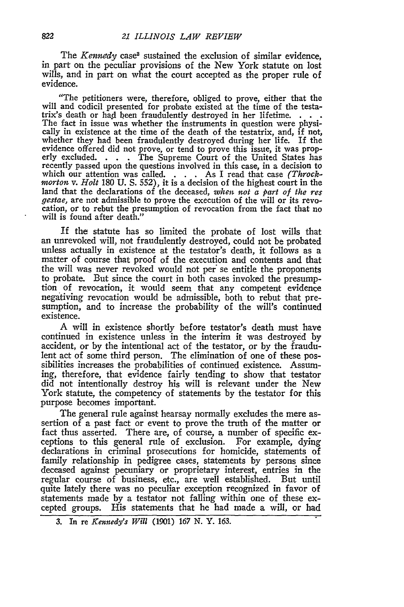The *Kennedy* case<sup>3</sup> sustained the exclusion of similar evidence, in part on the peculiar provisions of the New York statute on lost wills, and in part on what the court accepted as the proper rule of evidence.

"The petitioners were, therefore, obliged to prove, either that the will and codicil presented for probate existed at the time of the testatrix's death or had been fraudulently destroyed in her lifetime.  $\dots$ .<br>The fact in issue was whether the instruments in question were physically in existence at the time of the death of the testatrix, and, if not, whether they had been fraudulently destroyed during her life. If the evidence offered did not prove, or tend to prove this issue, it was prop- erly excluded. **. .** . The Supreme Court of the United States has erly excluded.  $\ldots$  The Supreme Court of the United States has recently passed upon the questions involved in this case, in a decision to which our attention was called. . **.** . As I read that case *(Throck*morton v. Holt 180 U. S. 552), it is a decision of the highest court in the land that the declarations of the deceased, *when not a part of the res* gestae, are not admissible to prove the execution of the will or its revocation, or to rebut the presumption of revocation from the fact that no will is found after death."

If the statute has so limited the probate of lost wills that an unrevoked will, not fraudulently destroyed, could not be probated unless actually in existence at the testator's death, it follows as a matter of course that proof of the execution and contents and that the will was never revoked would not per" se entitle the proponents to probate. But since the court in both cases invoked the presumption of revocation, it would seem that any competent evidence negativing revocation would be admissible, both to rebut that presumption, and to increase the probability of the will's continued existence.

**A** will in existence shortly before testator's death must have continued in existence unless in the interim it was destroyed **by** accident, or **by** the intentional act of the testator, or **by** the fraudulent act of some third person. The elimination of one of these possibilities increases the probabilities of continued existence. Assuming, therefore, that evidence fairly tending to show that testator did not intentionally destroy his will is relevant under the New York statute, the competency of statements **by** the testator for this purpose becomes important.

The general rule against hearsay normally excludes the mere assertion of a past fact or event to prove the truth of the matter or fact thus asserted. There are, of course, a number of specific exceptions to this general rule of exclusion. For example, dying declarations in criminal prosecutions for homicide, statements of family relationship in pedigree cases, statements **by** persons since deceased against pecuniary or proprietary interest, entries in the regular course of business, etc., are well established. But until quite lately there was no peculiar exception recognized in favor of statements made **by** a testator not falling within one of these excepted groups. His statements that he had made a will, or had

**<sup>3.</sup>** In re *Kennedy's Will* (1901) *167* N. Y. 163.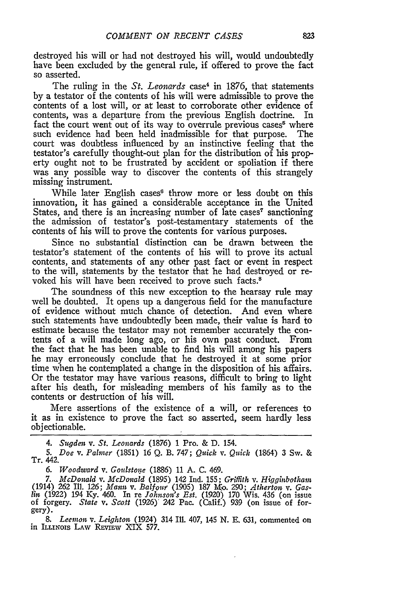destroyed his will or had not destroyed his will, would undoubtedly have been excluded by the general rule, if offered to prove the fact so asserted.

The ruling in the *St. Leonards* case<sup>4</sup> in 1876, that statements by a testator of the contents of his will were admissible to prove the contents of a lost will, or at least to corroborate other evidence of contents, was a departure from the previous English doctrine. In fact the court went out of its way to overrule previous cases<sup>5</sup> where such evidence had been held inadmissible for that purpose. The court was doubtless influenced by an instinctive feeling that the testator's carefully thought-out plan for the distribution of his property ought not to be frustrated by accident or spoliation if there was any possible way to discover the contents of this strangely missing instrument.

While later English cases<sup>6</sup> throw more or less doubt on this innovation, it has gained a considerable acceptance in the United States, and there is an increasing number of late cases<sup> $\tau$ </sup> sanctioning the admission of testator's post-testamentary statements of the contents of his will to prove the contents for various purposes.

Since no substantial distinction can be drawn between the testator's statement of the contents of his will to prove its actual contents, and statements of any other past fact or event in respect to the will, statements by the testator that he had destroyed or revoked his will have been received to prove such facts.8

The soundness of this new exception to the hearsay rule may well be doubted. It opens up a dangerous field for the manufacture of evidence without much chance of detection. And even where such statements have undoubtedly been made, their value is hard to estimate because the testator may not remember accurately the contents of a will made long ago, or his own past conduct. From the fact that he has been unable to find his will among his papers he may erroneously conclude that he destroyed it at some prior time when he contemplated a change in the disposition of his affairs. Or the testator may have various reasons, difficult to bring to light after his death, for misleading members of his family as to the contents or destruction of his will.

Mere assertions of the existence of a will, or references to it as in existence to prove the fact so asserted, seem hardly less objectionable.

*4. Sugden v. St. Leonards* (1876) 1 Pro. & D. 154.

*5. Doe v. Palmer* (1851) 16 Q. B. 747; *Quick v. Quick* (1864) 3 Sw. & Tr. 442.

*6. Woodward v. Goilstone* (1886) 11 A. C. 469.

*7. McDonald v. McDonald* (1895) 142 Ind. 155; *Griflith v. Higginbotham* (1914) *262* Ill. *126; Mann v. Balfour* (1905) 187 I<o. 290; *Atherton v.* Gas-*Hin* (1922) 194 Ky. 460. In re *Johnson's Est.* (1920) 170 Wis. 436 (on issue of forgery. *State v. Scott* (1926)" 242 Pac. (Calif.) 939 (on issue of forgery).

*8. Leemon v. Leighton* (1924) 314 Ill. 407, 145 N. E. 631, commented on in Illinois Law Review XIX 577.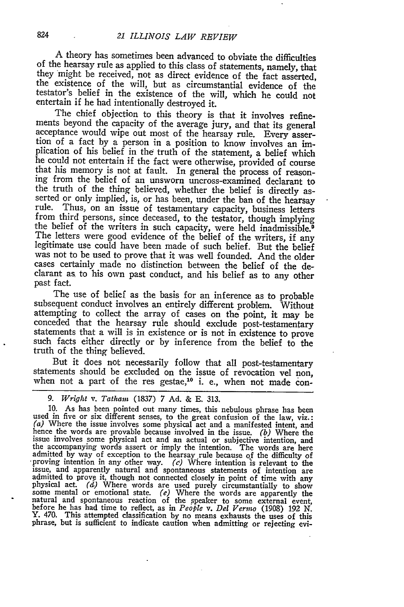A theory has sometimes been advanced to obviate the difficulties of the hearsay rule as applied to this class of statements, namely, that they might be received, not as direct evidence of the fact asserted, the existence of the will, but as circumstantial evidence of the testator's belief in the existence of the will, which he could not entertain if he had intentionally destroyed it.

The chief objection to this theory is that it involves refinements beyond the capacity of the average jury, and that its general acceptance would wipe out most of the hearsay rule. Every assertion of a fact by a person in a position to know involves an implication of his belief in the truth of the statement, a belief which he could not entertain if the fact were otherwise, provided of course that his memory is not at fault. In general the process of reasoning from the belief of an unsworn uncross-examined declarant to the truth of the thing believed, whether the belief is directly asserted or only implied, is, or has been, under the ban of the hearsay rule. Thus, on an issue of testamentary capacity, business letters from third persons, since deceased, to the testator, though implying the belief of the writers in such capacity, were held inadmissible.9 The letters were good evidence of the belief of the writers, if any legitimate use could have been made of such belief. But the belief was not to be used to prove that it was well founded. And the older cases certainly made no distinction between the belief of the declarant as, to his own past conduct, and his belief as to any other past fact.

The use of belief as the basis for an inference as to probable subsequent conduct involves an entirely different problem. Without attempting to collect the array of cases on the point, it may be conceded that the hearsay rule should exclude post-testamentary statements that a will is in existence or is not in existence to prove such facts either directly or by inference from the belief to the truth of the thing believed.

But it does not necessarily follow that all post-testamentary statements should be excluded on the issue of revocation vel non, when not a part of the res gestae,<sup>10</sup> i. e., when not made con-

9. *Wright* v. *Tatham* (1837) 7 Ad. & E. 313.<br>10. As has been pointed out many times, this nebulous phrase has been<br>used in five or six different senses, to the great confusion of the law, viz.:<br>(a) Where the issue involv the accompanying words assert or imply the intention. The words are nere<br>admitted by way of exception to the hearsay rule because of the difficulty of<br>proving intention in any other way. (c) Where intention is relevant to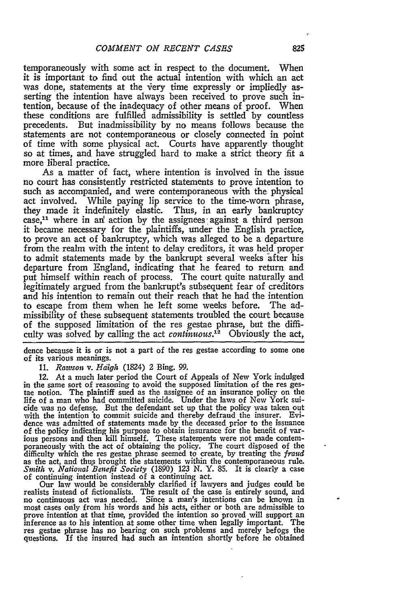temporaneously with some act in respect to the document. When it is important to find out the actual intention with which an act was done, statements at the very time expressly or impliedly asserting the intention have always been received to prove such intention, because of the inadequacy of other means of proof. When these conditions are fulfilled admissibility is settled **by** countless precedents. But inadmissibility **by** no means follows because the statements are not contemporaneous or closely connected in point of time with some physical act. Courts have apparently thought so at times, and have struggled hard to make a strict theory fit a more liberal practice.

As a matter of fact, where intention is involved in the issue no court has consistently restricted statements to prove intention to such as accompanied, and were contemporaneous with the physical act involved. While paying lip service to the time-worn phrase, they made it indefinitely elastic. Thus, in an early bankruptcy case,<sup>11</sup> where in an' action by the assignees against a third person it became necessary for the plaintiffs, under the English practice, to prove an act of bankruptcy, which was alleged to be a departure from the realm with the intent to delay creditors, it was held proper to admit statements made by the bankrupt several weeks after his departure from England, indicating that he feared to return and put himself within reach of process. The court quite naturally and legitimately argued from the bankrupt's subsequent fear of creditors and his intention to remain out their reach that he had the intention to escape from them when he left some weeks before. The admissibility of these subsequent statements troubled the court because of the supposed limitation of the res gestae phrase, but the difficulty was solved **by** calling the act *continuous.'2* Obviously the act,

dence because it is or is not a part of the res gestae according to some one of its various meanings.

**11.** *Rawson v. Haigh* (1824) 2 Bing. **99.**

12. At a much later period the Court of Appeals of New York indulged in the same sort of reasoning to avoid the supposed limitation of the res gestae notion. The plaintiff sued as the assignee of an insurance policy on the life of a man who had committed suicide. Under the laws of New York suicide was no defense. But the defendant set up that the policy was taken out with the intention to commit suicide and thereby defraud the insurer. Evidence was admitted of statements made **by** the deceased prior to the issuance of the policy indicating his purpose to obtain insurance for the benefit of various persons and then **kill** himself. These statements were not made contemporaneously with the act of obtaining the policy. The court disposed of the difficulty which the res gestae phrase seemed to create, **by** treating the *fraud* as the act, and thus brought the statements within the contemporaneous rule. *Smith v. National* **Benefit** *Society* **(1890) 123 N.** Y. **85.** It is clearly a case

of continuing intention instead of a continuing act. Our law would be considerably clarified if lawyers and judges could be realists instead of fictionalists. The result of the case is entirely sound, and no continuous act was needed. Since a man's intentions can be known in most cases only from his words and his acts, either or both are admissible to prove intention at that time, provided the intention so proved will support an inference as to his intention at some other time when legally important. The res gestae phrase has no bearing on such problems and merely befogs the questions. If the insured had such an intention shortly before he obtained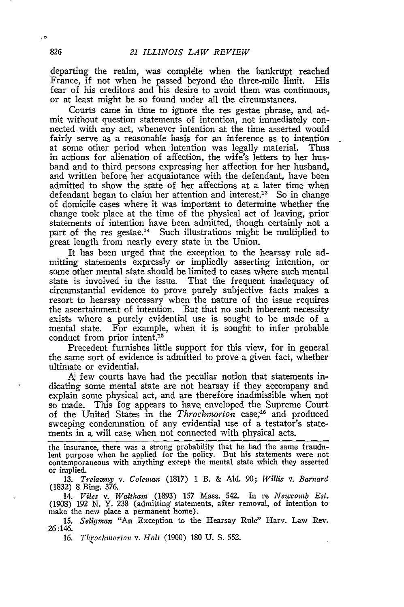departing the realm, was complete when the bankrupt reached France, if not when he passed beyond the three-mile limit. His fear of his creditors and his desire to avoid them was continuous, or at least might be so found under all the circumstances.

Courts came in time to ignore the res gestae phrase, and admit without question statements of intention, not immediately connected with any act, whenever intention at the time asserted would fairly serve as a reasonable basis for an inference as to intention at some other period when intention was legally material. Thus in actions for alienation of affection, the wife's letters to her husband and to third persons expressing her affection for her husband, and written before her acquaintance with the defendant, have been admitted to show the state of her affections at a later time when defendant began to claim her attention and interest.<sup>13</sup> So in change of domicile cases where it was important to determine whether the change took place at the time of the physical act of leaving, prior statements of intention have been admitted, though certainly not a part of the res gestae.14 Such illustrations might be multiplied to great length from nearly every state in the Union.

It has been urged that the exception to the hearsay rule admitting statements expressly or impliedly asserting intention, or some other mental state should be limited to cases where such mental state is involved in the issue. That the frequent inadequacy of circumstantial evidence to prove purely subjective facts makes a resort to hearsay necessary when the nature of the issue requires the ascertainment of intention. But that no such inherent necessity exists where a purely evidential use is sought to be made of a mental state. For example, when it is sought to infer probable conduct from prior intent.<sup>15</sup>

Precedent furnishes little support for this view, for in general the same sort of evidence is admitted to prove a given fact, whether ultimate or evidential.

**A,** few courts have had the peculiar notion that statements indicating some mental state are not hearsay if they accompany and explain some physical act, and are therefore inadmissible when not so made. This fog appears to have enveloped the Supreme Court of the United States in the *Throckmorton* case;<sup>16</sup> and produced sweeping condemnation of any evidential use of a testator's statements in a will case when not connected with physical acts.

the insurance, there was a strong probability that he had the same fraudulent purpose when he applied for the policy. But his statements were not contemporaneous with anything except the mental state which they asserted or implied.

13. *Trelawy v. Colemna,;* (1817) 1 B. & Aid. **90;** *Willis v. Barnard* (1832) 8 Bing. 376.

14. *Viles v. Waltham* (1893) 157 Mass. 542. In re *Newcomb Est.* (1908) *192 N.* Y. 238 (admitting statements, after removal, of intention to make the new place a permanent home).

15. *Seligan* "An Exception to the Hearsay Rule" Harv. Law Rev. 26:146.

*16. Throckinorton v. Holt* (1900) **180** U. S. 552.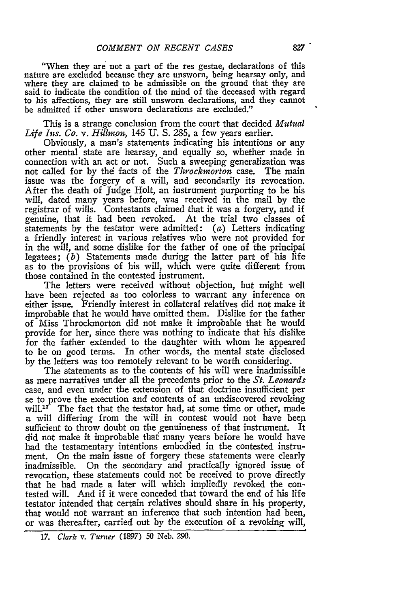"When they are not a part of the res gestae, declarations of this nature are excluded because they are unsworn, being hearsay only, and where they are claimed to be admissible on the ground that they are said to indicate the condition of the mind of the deceased with regard to his affections, they are still unsworn declarations, and they cannot be admitted if other unsworn declarations are excluded."

This is a strange conclusion from the court that decided *Mutual Life Ins. Co. v. Hilron,* 145 **U. S.** 285, a few years earlier.

Obviously, a man's statements indicating his intentions or any other mental state are hearsay, and equally so, whether made in connection with an act or not. Such a sweeping generalization was not called for by the facts of the *Throckmorton* case. The main issue was the forgery of a will, and secondarily its revocation. After the death of Judge Holt, an instrument purporting to be his will, dated many years before, was received in the mail **by** the registrar of wills. Contestants claimed that it was a forgery, and if genuine, that it had been revoked. At the trial two classes of statements **by** the testator were admitted: (a) Letters indicating a friendly interest in various relatives who were not provided for in the will, and some dislike for the father of one of the principal legatees; *(b)* Statements made during the latter part of his life as to the provisions of his will, which were quite different from those contained in the contested instrument.

The letters were received without objection, but might well have been rejected as too colorless to warrant any inference on either issue. Friendly interest in collateral relatives did not make it improbable that he would have omitted them. Dislike for the father of Miss Throckmorton did not make it improbable that he would provide for her, since there was nothing to indicate that his dislike for the father extended to the daughter with whom he appeared to be on good terms. In other words, the mental state disclosed **by** the letters was too remotely relevant to be worth considering.

The statements as to the contents of his will were inadmissible as mere narratives under all the precedents prior to the *St. Leonards* case, and even under the extension of that doctrine insufficient per se to prove the execution and contents of an undiscovered revoking will. $17$  The fact that the testator had, at some time or other, made a will differing from the will in contest would not have been sufficient to throw doubt on the genuineness of that instrument. It did not make it improbable thaf many years before he would have had the testamentary intentions embodied in the contested instrument. On the main issue of forgery these statements were clearly inadmissible. On the secondary and practically ignored issue of revocation, these statements could not be received to prove directly that he had made a later will which impliedly revoked the contested will. And if it were conceded that toward the end of his life testator intended that certain relatives should share in his property, that would not warrant an inference that such intention had been, or was thereafter, carried out by the execution of a revoking will,

*<sup>17.</sup> Clark v. Turner* (1897) 50 Neb. 290.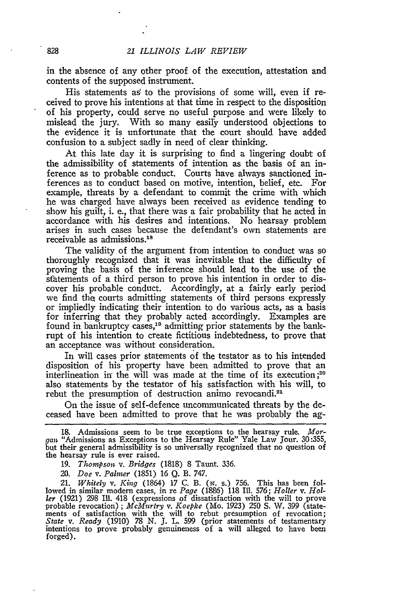in the absence of any other proof of the execution, attestation and contents of the supposed instrument.

His statements as' to the provisions of some will, even if received to prove his intentions at that time in respect to the disposition of his property, could serve no useful purpose and were likely to mislead the jury. With so many easily understood objections to the evidence it is unfortunate that the court should have added confusion to a subject sadly in need of clear thinking.

At this late day it is surprising to find a lingering doubt of the admissibility of statements of intention as the basis of an inference as to probable conduct. Courts have always sanctioned inferences as to conduct based on motive, intention, belief, etc. For example, threats **by** a defendant to commit the crime with which he was charged have always been received as evidence tending to show his guilt, i. e., that there was a fair probability that he acted in accordance with his desires and intentions. No hearsay problem arises in such cases because the defendant's own statements are receivable as admissions.<sup>18</sup>

The validity of the argument from intention to conduct was so thoroughly recognized that it was inevitable that the difficulty of proving the basis of the inference should lead to the use of the sfatements of a third person to prove his intention in order to discover his probable conduct. Accordingly, at a fairly early period we find the courts admitting statements of third persons expressly or impliedly indicating their intention to do various acts, as a basis for inferring that they probably acted accordingly. Examples are found in bankruptcy cases,19 admitting prior statements **by** the bankrupt of his intention to create fictitious indebtedness, to prove that an acceptance was without consideration.

In will cases prior statements of the testator as to his intended disposition of his property have been admitted to prove that an interlineation in the will was made at the time of its execution;<sup>20</sup> also statements **by** the testator of his satisfaction with his will, to rebut the presumption of destruction animo revocandi.<sup>21</sup>

On the issue of self-defence uncommunicated threats **by** the deceased have been admitted to prove that he was probably the ag-

*20. Doe v. Palner* (1851) 16 Q. B. 747.

*21. Whitely v. King* (1864) 17 C. B. *(N.* s.) 756. This has been followed in similar modem cases, in re *Page* (1886) **118** Ill. 576; *Holler v. Holler* (1921) 298 **Ill.** 418 (expressions of dissatisfaction with the will to prove probable revocation) ; *Mckfurtry v. Koepke* (Mo. 1923) **250** S. W. *399* (statements of satisfaction with the will to rebut presumption of revocation *State v. Ready* (1910) *78* N. **J.** L. 599 (prior statements of testamentary intentions to prove probably genuineness of a will alleged to have been forged).

**<sup>18.</sup>** Admissions seem to be true exceptions to the hearsay rule. *Morgan* "Admissions as Exceptions to the Hearsay Rule" Yale Law Jour. 30:355, but their general admissibility is so universally recognized that no question of the hearsay rule is ever raised.

*<sup>19.</sup> Thompson v. Bridges* (1818) 8 Taunt. 336.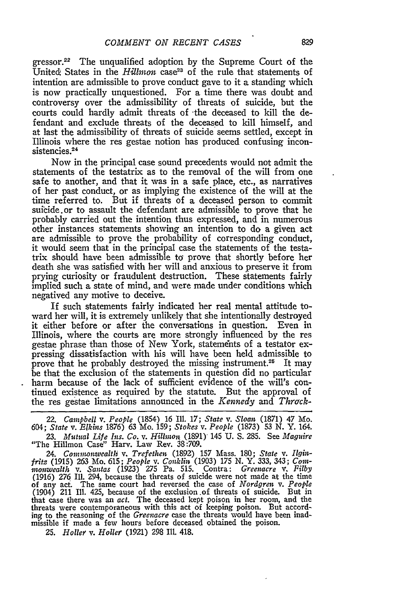gressor.<sup>22</sup> The unqualified adoption by the Supreme Court of the United. States in the *Hillmon* case<sup>23</sup> of the rule that statements of intention are admissible to prove conduct gave to it a standing which is now practically unquestioned. For a time there was doubt and controversy over the admissibility of threats of suicide, but the courts could hardly admit threats of -the deceased to kill the defendant and exclude threats of the deceased to kill himself, and at last the admissibility of threats of suicide seems settled, except in Illinois where the res gestae notion has produced confusing inconsistencies.<sup>24</sup>

Now in the principal case sound precedents would not admit the statements of the testatrix as to the removal of the will from one safe to another, and that it was in a safe place, etc., as narratives of her past conduct, or as implying the existence of the will at the time referred to. But if threats of a deceased person to commit suicide.or to assault the defendant are admissible to prove that he probably carried out the intention thus expressed, and in numerous other instances statements showing an intention to do a given act are admissible to prove the probability of corresponding conduct, it would seem that in the principal case the statements of the testatrix should have been admissible to prove that shortly before her death she was satisfied with her will and anxious to preserve it from prying curiosity or fraudulent destruction. These statements fairly implied such a state of mind, and were made under conditions which negatived any motive to deceive.

If such statements fairly indicated her real mental attitude toward her will, it is extremely unlikely that she intentionally destroyed it either before or after the conversations in question. Even in Illinois, where the courts are more strongly influenced by the res gestae phrase than those of New York, statements of a testator expressing dissatisfaction with his will have been held admissible to prove that he probably destroyed the missing instrument.<sup>25</sup> It may be that the exclusion of the statements in question did no particular harm because of the lack of sufficient evidence of the will's continued existence as required **by** the statute. But the approval of the res gestae limitations announced in the *Kennedy and Thrack-*

22. *Campbell v. People* (1854) **16 Il1.** *17; State v. Sloan;* (1871) 47 Mo. *604; State v. Elkins* 1876) 63 Mo. 159; *Stokes v. People* (1873) 53 N. Y. 164. *23. Mutual Life Ins. Co. v. Hillmoi,* (1891) 145 U. S. 285. See *Maguire* "The Hillmon Case" Harv. Law Rev. 38:709.

24. Commonwealth v. Trefethen (1892) 157 Mass. 180; State v. Ilgin*frita* (1915) **263** Mo. 615; *People v. Conklin* (1903) 175 N. Y. 333, 343; Com*monwealth v. Santas* (1923) 275 Pa. 515. Contra: *Greenacre v. Filby* (1916) 276 Ill. 294, because the threats of suicide were not made at the time of any act. The same court had reversed the case of *Nordgren v. People* (1904) 211 **I1.** 425, because of the exclusion .of threats of suicide. But in that case there was an act. The deceased kept poison in her room, and the threats were contemporaneous with this act of keeping poison. But according to the reasoning of the *Greenacre* case the threats would have been inadmissible if made a few hours before deceased obtained the poison.

**25.** *Holler v. Holler* (1921) 298 **I1.** 418.